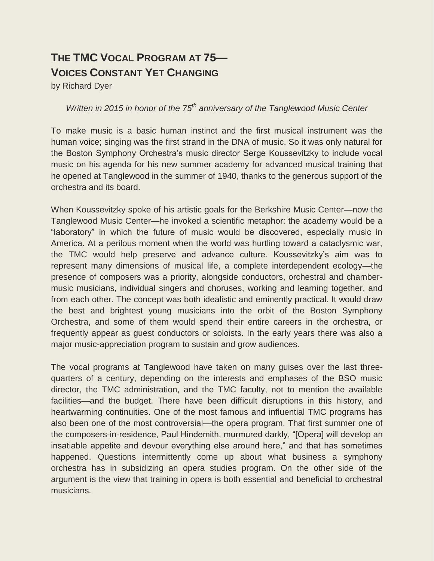## **THE TMC VOCAL PROGRAM AT 75— VOICES CONSTANT YET CHANGING**

by Richard Dyer

## *Written in 2015 in honor of the 75th anniversary of the Tanglewood Music Center*

To make music is a basic human instinct and the first musical instrument was the human voice; singing was the first strand in the DNA of music. So it was only natural for the Boston Symphony Orchestra"s music director Serge Koussevitzky to include vocal music on his agenda for his new summer academy for advanced musical training that he opened at Tanglewood in the summer of 1940, thanks to the generous support of the orchestra and its board.

When Koussevitzky spoke of his artistic goals for the Berkshire Music Center—now the Tanglewood Music Center—he invoked a scientific metaphor: the academy would be a "laboratory" in which the future of music would be discovered, especially music in America. At a perilous moment when the world was hurtling toward a cataclysmic war, the TMC would help preserve and advance culture. Koussevitzky"s aim was to represent many dimensions of musical life, a complete interdependent ecology—the presence of composers was a priority, alongside conductors, orchestral and chambermusic musicians, individual singers and choruses, working and learning together, and from each other. The concept was both idealistic and eminently practical. It would draw the best and brightest young musicians into the orbit of the Boston Symphony Orchestra, and some of them would spend their entire careers in the orchestra, or frequently appear as guest conductors or soloists. In the early years there was also a major music-appreciation program to sustain and grow audiences.

The vocal programs at Tanglewood have taken on many guises over the last threequarters of a century, depending on the interests and emphases of the BSO music director, the TMC administration, and the TMC faculty, not to mention the available facilities—and the budget. There have been difficult disruptions in this history, and heartwarming continuities. One of the most famous and influential TMC programs has also been one of the most controversial—the opera program. That first summer one of the composers-in-residence, Paul Hindemith, murmured darkly, "[Opera] will develop an insatiable appetite and devour everything else around here," and that has sometimes happened. Questions intermittently come up about what business a symphony orchestra has in subsidizing an opera studies program. On the other side of the argument is the view that training in opera is both essential and beneficial to orchestral musicians.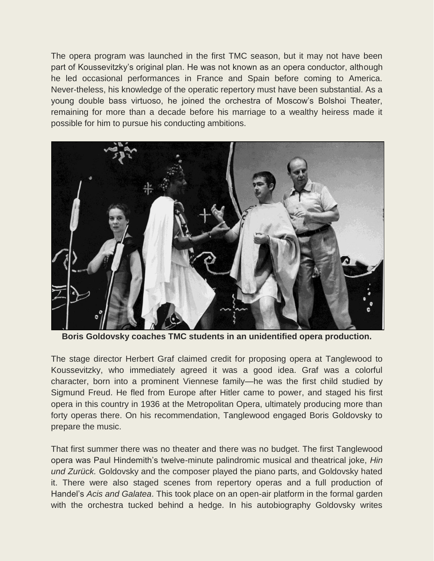The opera program was launched in the first TMC season, but it may not have been part of Koussevitzky"s original plan. He was not known as an opera conductor, although he led occasional performances in France and Spain before coming to America. Never-theless, his knowledge of the operatic repertory must have been substantial. As a young double bass virtuoso, he joined the orchestra of Moscow"s Bolshoi Theater, remaining for more than a decade before his marriage to a wealthy heiress made it possible for him to pursue his conducting ambitions.



**Boris Goldovsky coaches TMC students in an unidentified opera production.**

The stage director Herbert Graf claimed credit for proposing opera at Tanglewood to Koussevitzky, who immediately agreed it was a good idea. Graf was a colorful character, born into a prominent Viennese family—he was the first child studied by Sigmund Freud. He fled from Europe after Hitler came to power, and staged his first opera in this country in 1936 at the Metropolitan Opera, ultimately producing more than forty operas there. On his recommendation, Tanglewood engaged Boris Goldovsky to prepare the music.

That first summer there was no theater and there was no budget. The first Tanglewood opera was Paul Hindemith"s twelve-minute palindromic musical and theatrical joke, *Hin und Zurück.* Goldovsky and the composer played the piano parts, and Goldovsky hated it. There were also staged scenes from repertory operas and a full production of Handel"s *Acis and Galatea*. This took place on an open-air platform in the formal garden with the orchestra tucked behind a hedge. In his autobiography Goldovsky writes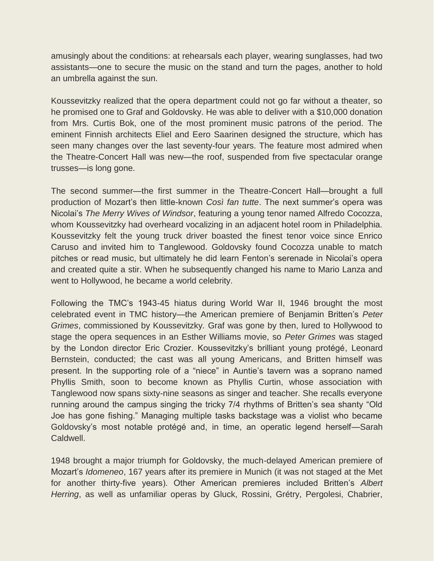amusingly about the conditions: at rehearsals each player, wearing sunglasses, had two assistants—one to secure the music on the stand and turn the pages, another to hold an umbrella against the sun.

Koussevitzky realized that the opera department could not go far without a theater, so he promised one to Graf and Goldovsky. He was able to deliver with a \$10,000 donation from Mrs. Curtis Bok, one of the most prominent music patrons of the period. The eminent Finnish architects Eliel and Eero Saarinen designed the structure, which has seen many changes over the last seventy-four years. The feature most admired when the Theatre-Concert Hall was new—the roof, suspended from five spectacular orange trusses—is long gone.

The second summer—the first summer in the Theatre-Concert Hall—brought a full production of Mozart"s then little-known *Così fan tutte*. The next summer"s opera was Nicolai"s *The Merry Wives of Windsor*, featuring a young tenor named Alfredo Cocozza, whom Koussevitzky had overheard vocalizing in an adjacent hotel room in Philadelphia. Koussevitzky felt the young truck driver boasted the finest tenor voice since Enrico Caruso and invited him to Tanglewood. Goldovsky found Cocozza unable to match pitches or read music, but ultimately he did learn Fenton"s serenade in Nicolai"s opera and created quite a stir. When he subsequently changed his name to Mario Lanza and went to Hollywood, he became a world celebrity.

Following the TMC"s 1943-45 hiatus during World War II, 1946 brought the most celebrated event in TMC history—the American premiere of Benjamin Britten"s *Peter Grimes*, commissioned by Koussevitzky*.* Graf was gone by then, lured to Hollywood to stage the opera sequences in an Esther Williams movie, so *Peter Grimes* was staged by the London director Eric Crozier. Koussevitzky"s brilliant young protégé, Leonard Bernstein, conducted; the cast was all young Americans, and Britten himself was present. In the supporting role of a "niece" in Auntie's tavern was a soprano named Phyllis Smith, soon to become known as Phyllis Curtin, whose association with Tanglewood now spans sixty-nine seasons as singer and teacher. She recalls everyone running around the campus singing the tricky 7/4 rhythms of Britten's sea shanty "Old Joe has gone fishing." Managing multiple tasks backstage was a violist who became Goldovsky"s most notable protégé and, in time, an operatic legend herself—Sarah Caldwell.

1948 brought a major triumph for Goldovsky, the much-delayed American premiere of Mozart"s *Idomeneo*, 167 years after its premiere in Munich (it was not staged at the Met for another thirty-five years). Other American premieres included Britten"s *Albert Herring*, as well as unfamiliar operas by Gluck, Rossini, Grétry, Pergolesi, Chabrier,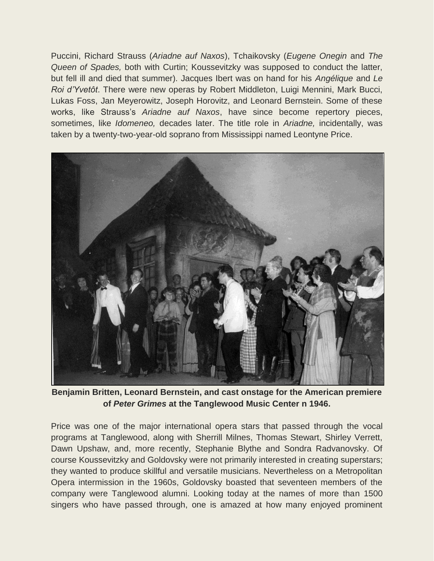Puccini, Richard Strauss (*Ariadne auf Naxos*), Tchaikovsky (*Eugene Onegin* and *The Queen of Spades,* both with Curtin; Koussevitzky was supposed to conduct the latter, but fell ill and died that summer). Jacques Ibert was on hand for his *Angélique* and *Le Roi d'Yvetôt*. There were new operas by Robert Middleton, Luigi Mennini, Mark Bucci, Lukas Foss, Jan Meyerowitz, Joseph Horovitz, and Leonard Bernstein. Some of these works, like Strauss"s *Ariadne auf Naxos*, have since become repertory pieces, sometimes, like *Idomeneo,* decades later. The title role in *Ariadne,* incidentally, was taken by a twenty-two-year-old soprano from Mississippi named Leontyne Price.



**Benjamin Britten, Leonard Bernstein, and cast onstage for the American premiere of** *Peter Grimes* **at the Tanglewood Music Center n 1946.**

Price was one of the major international opera stars that passed through the vocal programs at Tanglewood, along with Sherrill Milnes, Thomas Stewart, Shirley Verrett, Dawn Upshaw, and, more recently, Stephanie Blythe and Sondra Radvanovsky. Of course Koussevitzky and Goldovsky were not primarily interested in creating superstars; they wanted to produce skillful and versatile musicians. Nevertheless on a Metropolitan Opera intermission in the 1960s, Goldovsky boasted that seventeen members of the company were Tanglewood alumni. Looking today at the names of more than 1500 singers who have passed through, one is amazed at how many enjoyed prominent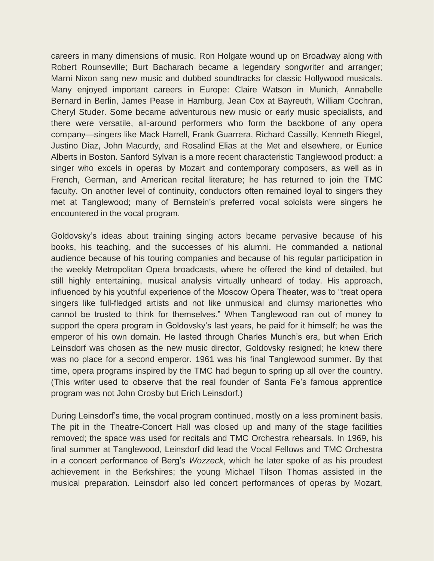careers in many dimensions of music. Ron Holgate wound up on Broadway along with Robert Rounseville; Burt Bacharach became a legendary songwriter and arranger; Marni Nixon sang new music and dubbed soundtracks for classic Hollywood musicals. Many enjoyed important careers in Europe: Claire Watson in Munich, Annabelle Bernard in Berlin, James Pease in Hamburg, Jean Cox at Bayreuth, William Cochran, Cheryl Studer. Some became adventurous new music or early music specialists, and there were versatile, all-around performers who form the backbone of any opera company—singers like Mack Harrell, Frank Guarrera, Richard Cassilly, Kenneth Riegel, Justino Diaz, John Macurdy, and Rosalind Elias at the Met and elsewhere, or Eunice Alberts in Boston. Sanford Sylvan is a more recent characteristic Tanglewood product: a singer who excels in operas by Mozart and contemporary composers, as well as in French, German, and American recital literature; he has returned to join the TMC faculty. On another level of continuity, conductors often remained loyal to singers they met at Tanglewood; many of Bernstein"s preferred vocal soloists were singers he encountered in the vocal program.

Goldovsky"s ideas about training singing actors became pervasive because of his books, his teaching, and the successes of his alumni. He commanded a national audience because of his touring companies and because of his regular participation in the weekly Metropolitan Opera broadcasts, where he offered the kind of detailed, but still highly entertaining, musical analysis virtually unheard of today. His approach, influenced by his youthful experience of the Moscow Opera Theater, was to "treat opera singers like full-fledged artists and not like unmusical and clumsy marionettes who cannot be trusted to think for themselves." When Tanglewood ran out of money to support the opera program in Goldovsky's last years, he paid for it himself; he was the emperor of his own domain. He lasted through Charles Munch"s era, but when Erich Leinsdorf was chosen as the new music director, Goldovsky resigned; he knew there was no place for a second emperor. 1961 was his final Tanglewood summer. By that time, opera programs inspired by the TMC had begun to spring up all over the country. (This writer used to observe that the real founder of Santa Fe"s famous apprentice program was not John Crosby but Erich Leinsdorf.)

During Leinsdorf"s time, the vocal program continued, mostly on a less prominent basis. The pit in the Theatre-Concert Hall was closed up and many of the stage facilities removed; the space was used for recitals and TMC Orchestra rehearsals. In 1969, his final summer at Tanglewood, Leinsdorf did lead the Vocal Fellows and TMC Orchestra in a concert performance of Berg"s *Wozzeck*, which he later spoke of as his proudest achievement in the Berkshires; the young Michael Tilson Thomas assisted in the musical preparation. Leinsdorf also led concert performances of operas by Mozart,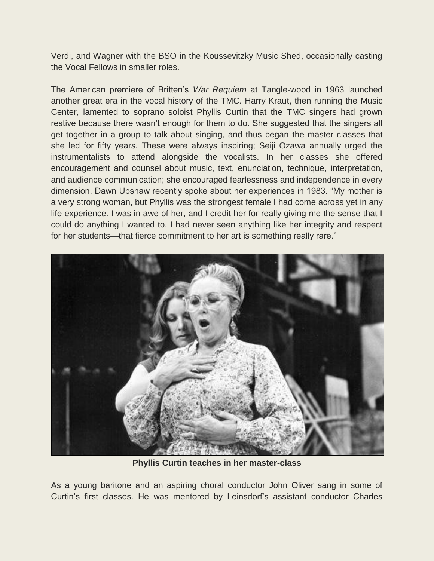Verdi, and Wagner with the BSO in the Koussevitzky Music Shed, occasionally casting the Vocal Fellows in smaller roles.

The American premiere of Britten"s *War Requiem* at Tangle-wood in 1963 launched another great era in the vocal history of the TMC. Harry Kraut, then running the Music Center, lamented to soprano soloist Phyllis Curtin that the TMC singers had grown restive because there wasn't enough for them to do. She suggested that the singers all get together in a group to talk about singing, and thus began the master classes that she led for fifty years. These were always inspiring; Seiji Ozawa annually urged the instrumentalists to attend alongside the vocalists. In her classes she offered encouragement and counsel about music, text, enunciation, technique, interpretation, and audience communication; she encouraged fearlessness and independence in every dimension. Dawn Upshaw recently spoke about her experiences in 1983. "My mother is a very strong woman, but Phyllis was the strongest female I had come across yet in any life experience. I was in awe of her, and I credit her for really giving me the sense that I could do anything I wanted to. I had never seen anything like her integrity and respect for her students—that fierce commitment to her art is something really rare."



**Phyllis Curtin teaches in her master-class**

As a young baritone and an aspiring choral conductor John Oliver sang in some of Curtin"s first classes. He was mentored by Leinsdorf"s assistant conductor Charles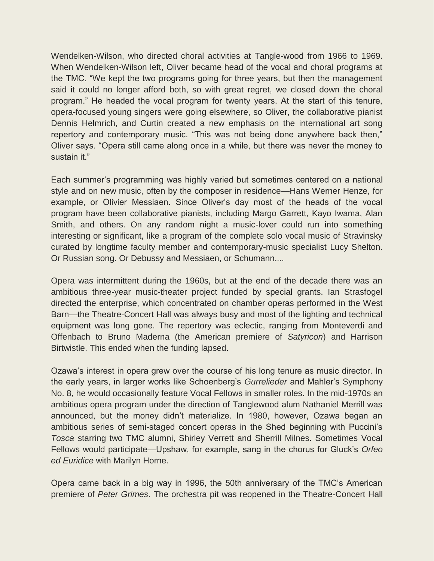Wendelken-Wilson, who directed choral activities at Tangle-wood from 1966 to 1969. When Wendelken-Wilson left, Oliver became head of the vocal and choral programs at the TMC. "We kept the two programs going for three years, but then the management said it could no longer afford both, so with great regret, we closed down the choral program." He headed the vocal program for twenty years. At the start of this tenure, opera-focused young singers were going elsewhere, so Oliver, the collaborative pianist Dennis Helmrich, and Curtin created a new emphasis on the international art song repertory and contemporary music. "This was not being done anywhere back then," Oliver says. "Opera still came along once in a while, but there was never the money to sustain it."

Each summer's programming was highly varied but sometimes centered on a national style and on new music, often by the composer in residence—Hans Werner Henze, for example, or Olivier Messiaen. Since Oliver"s day most of the heads of the vocal program have been collaborative pianists, including Margo Garrett, Kayo Iwama, Alan Smith, and others. On any random night a music-lover could run into something interesting or significant, like a program of the complete solo vocal music of Stravinsky curated by longtime faculty member and contemporary-music specialist Lucy Shelton. Or Russian song. Or Debussy and Messiaen, or Schumann....

Opera was intermittent during the 1960s, but at the end of the decade there was an ambitious three-year music-theater project funded by special grants. Ian Strasfogel directed the enterprise, which concentrated on chamber operas performed in the West Barn—the Theatre-Concert Hall was always busy and most of the lighting and technical equipment was long gone. The repertory was eclectic, ranging from Monteverdi and Offenbach to Bruno Maderna (the American premiere of *Satyricon*) and Harrison Birtwistle. This ended when the funding lapsed.

Ozawa"s interest in opera grew over the course of his long tenure as music director. In the early years, in larger works like Schoenberg"s *Gurrelieder* and Mahler"s Symphony No. 8, he would occasionally feature Vocal Fellows in smaller roles. In the mid-1970s an ambitious opera program under the direction of Tanglewood alum Nathaniel Merrill was announced, but the money didn"t materialize. In 1980, however, Ozawa began an ambitious series of semi-staged concert operas in the Shed beginning with Puccini"s *Tosca* starring two TMC alumni, Shirley Verrett and Sherrill Milnes. Sometimes Vocal Fellows would participate—Upshaw, for example, sang in the chorus for Gluck"s *Orfeo ed Euridice* with Marilyn Horne.

Opera came back in a big way in 1996, the 50th anniversary of the TMC"s American premiere of *Peter Grimes*. The orchestra pit was reopened in the Theatre-Concert Hall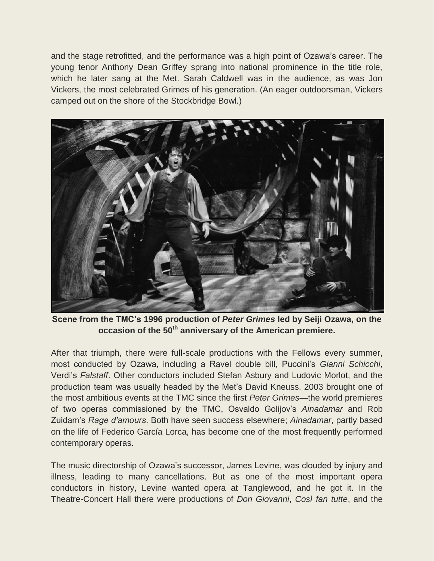and the stage retrofitted, and the performance was a high point of Ozawa"s career. The young tenor Anthony Dean Griffey sprang into national prominence in the title role, which he later sang at the Met. Sarah Caldwell was in the audience, as was Jon Vickers, the most celebrated Grimes of his generation. (An eager outdoorsman, Vickers camped out on the shore of the Stockbridge Bowl.)



**Scene from the TMC's 1996 production of** *Peter Grimes* **led by Seiji Ozawa, on the occasion of the 50th anniversary of the American premiere.** 

After that triumph, there were full-scale productions with the Fellows every summer, most conducted by Ozawa, including a Ravel double bill, Puccini"s *Gianni Schicchi*, Verdi"s *Falstaff*. Other conductors included Stefan Asbury and Ludovic Morlot, and the production team was usually headed by the Met"s David Kneuss. 2003 brought one of the most ambitious events at the TMC since the first *Peter Grimes—*the world premieres of two operas commissioned by the TMC, Osvaldo Golijov"s *Ainadamar* and Rob Zuidam"s *Rage d'amours*. Both have seen success elsewhere; *Ainadamar*, partly based on the life of Federico García Lorca, has become one of the most frequently performed contemporary operas.

The music directorship of Ozawa"s successor, James Levine, was clouded by injury and illness, leading to many cancellations. But as one of the most important opera conductors in history, Levine wanted opera at Tanglewood, and he got it. In the Theatre-Concert Hall there were productions of *Don Giovanni*, *Così fan tutte*, and the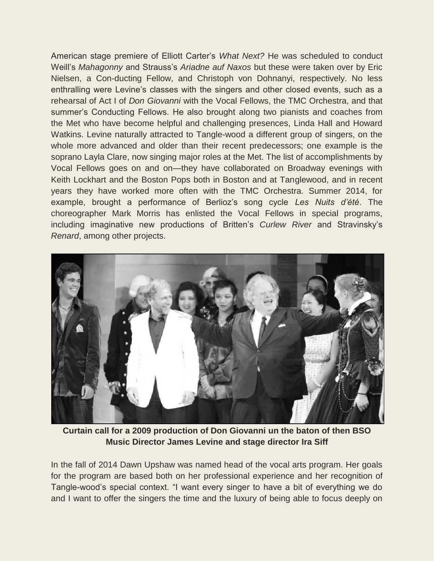American stage premiere of Elliott Carter"s *What Next?* He was scheduled to conduct Weill"s *Mahagonny* and Strauss"s *Ariadne auf Naxos* but these were taken over by Eric Nielsen, a Con-ducting Fellow, and Christoph von Dohnanyi, respectively. No less enthralling were Levine's classes with the singers and other closed events, such as a rehearsal of Act I of *Don Giovanni* with the Vocal Fellows, the TMC Orchestra, and that summer's Conducting Fellows. He also brought along two pianists and coaches from the Met who have become helpful and challenging presences, Linda Hall and Howard Watkins. Levine naturally attracted to Tangle-wood a different group of singers, on the whole more advanced and older than their recent predecessors; one example is the soprano Layla Clare, now singing major roles at the Met. The list of accomplishments by Vocal Fellows goes on and on—they have collaborated on Broadway evenings with Keith Lockhart and the Boston Pops both in Boston and at Tanglewood, and in recent years they have worked more often with the TMC Orchestra. Summer 2014, for example, brought a performance of Berlioz"s song cycle *Les Nuits d'été*. The choreographer Mark Morris has enlisted the Vocal Fellows in special programs, including imaginative new productions of Britten"s *Curlew River* and Stravinsky"s *Renard*, among other projects.



**Curtain call for a 2009 production of Don Giovanni un the baton of then BSO Music Director James Levine and stage director Ira Siff**

In the fall of 2014 Dawn Upshaw was named head of the vocal arts program. Her goals for the program are based both on her professional experience and her recognition of Tanglewood"s special context. "I want every singer to have a bit of everything we do and I want to offer the singers the time and the luxury of being able to focus deeply on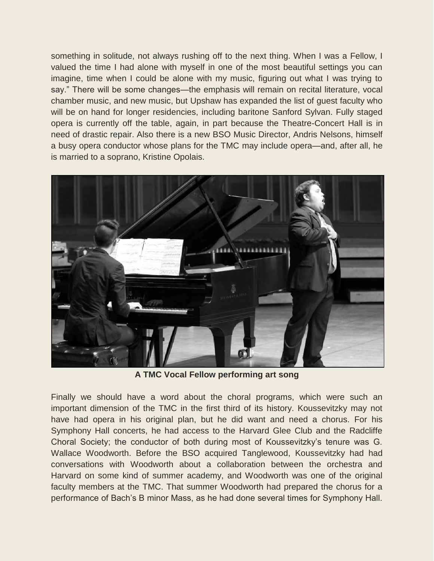something in solitude, not always rushing off to the next thing. When I was a Fellow, I valued the time I had alone with myself in one of the most beautiful settings you can imagine, time when I could be alone with my music, figuring out what I was trying to say." There will be some changes—the emphasis will remain on recital literature, vocal chamber music, and new music, but Upshaw has expanded the list of guest faculty who will be on hand for longer residencies, including baritone Sanford Sylvan. Fully staged opera is currently off the table, again, in part because the Theatre-Concert Hall is in need of drastic repair. Also there is a new BSO Music Director, Andris Nelsons, himself a busy opera conductor whose plans for the TMC may include opera—and, after all, he is married to a soprano, Kristine Opolais.



**A TMC Vocal Fellow performing art song**

Finally we should have a word about the choral programs, which were such an important dimension of the TMC in the first third of its history. Koussevitzky may not have had opera in his original plan, but he did want and need a chorus. For his Symphony Hall concerts, he had access to the Harvard Glee Club and the Radcliffe Choral Society; the conductor of both during most of Koussevitzky"s tenure was G. Wallace Woodworth. Before the BSO acquired Tanglewood, Koussevitzky had had conversations with Woodworth about a collaboration between the orchestra and Harvard on some kind of summer academy, and Woodworth was one of the original faculty members at the TMC. That summer Woodworth had prepared the chorus for a performance of Bach"s B minor Mass, as he had done several times for Symphony Hall.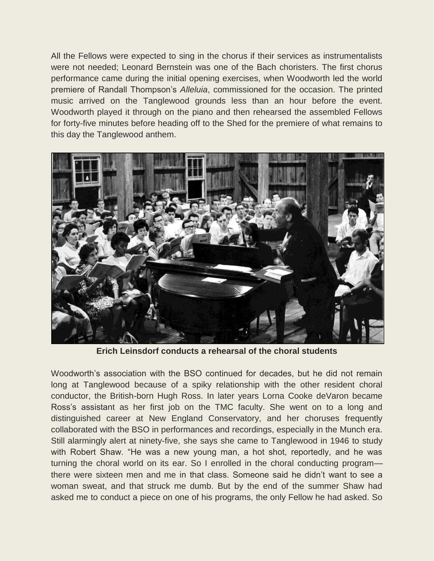All the Fellows were expected to sing in the chorus if their services as instrumentalists were not needed; Leonard Bernstein was one of the Bach choristers. The first chorus performance came during the initial opening exercises, when Woodworth led the world premiere of Randall Thompson"s *Alleluia*, commissioned for the occasion. The printed music arrived on the Tanglewood grounds less than an hour before the event. Woodworth played it through on the piano and then rehearsed the assembled Fellows for forty-five minutes before heading off to the Shed for the premiere of what remains to this day the Tanglewood anthem.



**Erich Leinsdorf conducts a rehearsal of the choral students**

Woodworth's association with the BSO continued for decades, but he did not remain long at Tanglewood because of a spiky relationship with the other resident choral conductor, the British-born Hugh Ross. In later years Lorna Cooke deVaron became Ross"s assistant as her first job on the TMC faculty. She went on to a long and distinguished career at New England Conservatory, and her choruses frequently collaborated with the BSO in performances and recordings, especially in the Munch era. Still alarmingly alert at ninety-five, she says she came to Tanglewood in 1946 to study with Robert Shaw. "He was a new young man, a hot shot, reportedly, and he was turning the choral world on its ear. So I enrolled in the choral conducting program there were sixteen men and me in that class. Someone said he didn"t want to see a woman sweat, and that struck me dumb. But by the end of the summer Shaw had asked me to conduct a piece on one of his programs, the only Fellow he had asked. So